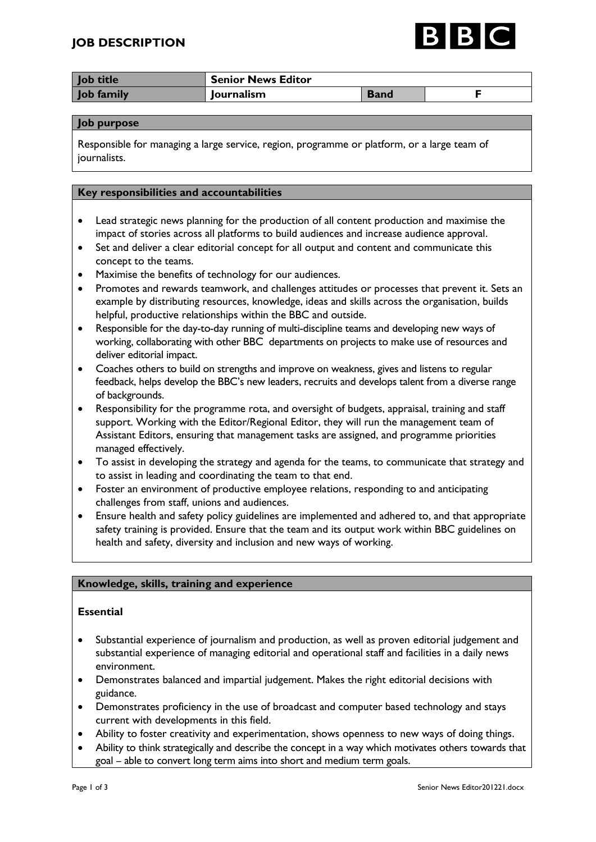

| Job title  | <b>Senior News Editor</b> |             |  |
|------------|---------------------------|-------------|--|
| Job family | Journalism                | <b>Band</b> |  |

#### **Job purpose**

Responsible for managing a large service, region, programme or platform, or a large team of journalists.

#### **Key responsibilities and accountabilities**

- Lead strategic news planning for the production of all content production and maximise the impact of stories across all platforms to build audiences and increase audience approval.
- Set and deliver a clear editorial concept for all output and content and communicate this concept to the teams.
- Maximise the benefits of technology for our audiences.
- Promotes and rewards teamwork, and challenges attitudes or processes that prevent it. Sets an example by distributing resources, knowledge, ideas and skills across the organisation, builds helpful, productive relationships within the BBC and outside.
- Responsible for the day-to-day running of multi-discipline teams and developing new ways of working, collaborating with other BBC departments on projects to make use of resources and deliver editorial impact.
- Coaches others to build on strengths and improve on weakness, gives and listens to regular feedback, helps develop the BBC's new leaders, recruits and develops talent from a diverse range of backgrounds.
- Responsibility for the programme rota, and oversight of budgets, appraisal, training and staff support. Working with the Editor/Regional Editor, they will run the management team of Assistant Editors, ensuring that management tasks are assigned, and programme priorities managed effectively.
- To assist in developing the strategy and agenda for the teams, to communicate that strategy and to assist in leading and coordinating the team to that end.
- Foster an environment of productive employee relations, responding to and anticipating challenges from staff, unions and audiences.
- Ensure health and safety policy guidelines are implemented and adhered to, and that appropriate safety training is provided. Ensure that the team and its output work within BBC guidelines on health and safety, diversity and inclusion and new ways of working.

## **Knowledge, skills, training and experience**

## **Essential**

- Substantial experience of journalism and production, as well as proven editorial judgement and substantial experience of managing editorial and operational staff and facilities in a daily news environment.
- Demonstrates balanced and impartial judgement. Makes the right editorial decisions with guidance.
- Demonstrates proficiency in the use of broadcast and computer based technology and stays current with developments in this field.
- Ability to foster creativity and experimentation, shows openness to new ways of doing things.
- Ability to think strategically and describe the concept in a way which motivates others towards that goal – able to convert long term aims into short and medium term goals.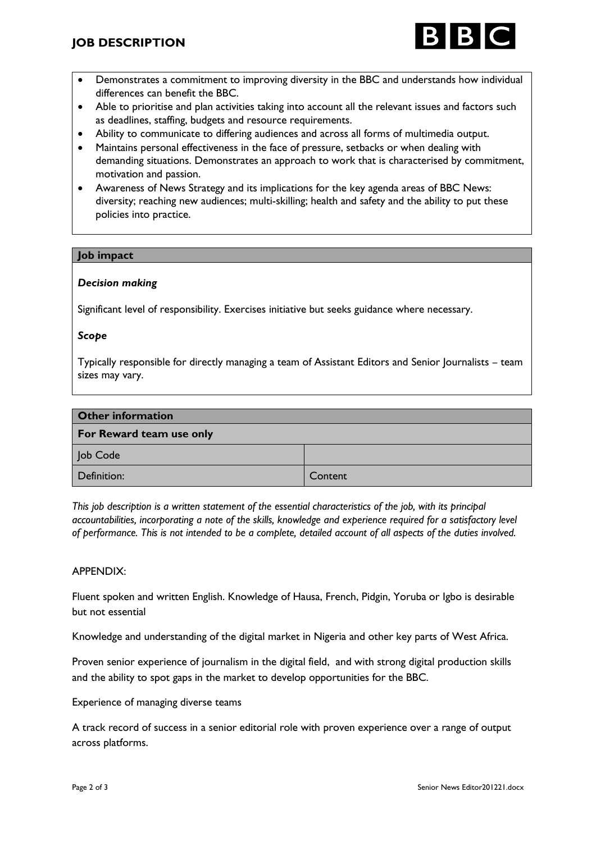

- Demonstrates a commitment to improving diversity in the BBC and understands how individual differences can benefit the BBC.
- Able to prioritise and plan activities taking into account all the relevant issues and factors such as deadlines, staffing, budgets and resource requirements.
- Ability to communicate to differing audiences and across all forms of multimedia output.
- Maintains personal effectiveness in the face of pressure, setbacks or when dealing with demanding situations. Demonstrates an approach to work that is characterised by commitment, motivation and passion.
- Awareness of News Strategy and its implications for the key agenda areas of BBC News: diversity; reaching new audiences; multi-skilling; health and safety and the ability to put these policies into practice.

## **Job impact**

## *Decision making*

Significant level of responsibility. Exercises initiative but seeks guidance where necessary.

## *Scope*

Typically responsible for directly managing a team of Assistant Editors and Senior Journalists – team sizes may vary.

| <b>Other information</b> |         |  |  |
|--------------------------|---------|--|--|
| For Reward team use only |         |  |  |
| Job Code                 |         |  |  |
| Definition:              | Content |  |  |

*This job description is a written statement of the essential characteristics of the job, with its principal accountabilities, incorporating a note of the skills, knowledge and experience required for a satisfactory level of performance. This is not intended to be a complete, detailed account of all aspects of the duties involved.*

## APPENDIX:

Fluent spoken and written English. Knowledge of Hausa, French, Pidgin, Yoruba or Igbo is desirable but not essential

Knowledge and understanding of the digital market in Nigeria and other key parts of West Africa.

Proven senior experience of journalism in the digital field, and with strong digital production skills and the ability to spot gaps in the market to develop opportunities for the BBC.

Experience of managing diverse teams

A track record of success in a senior editorial role with proven experience over a range of output across platforms.